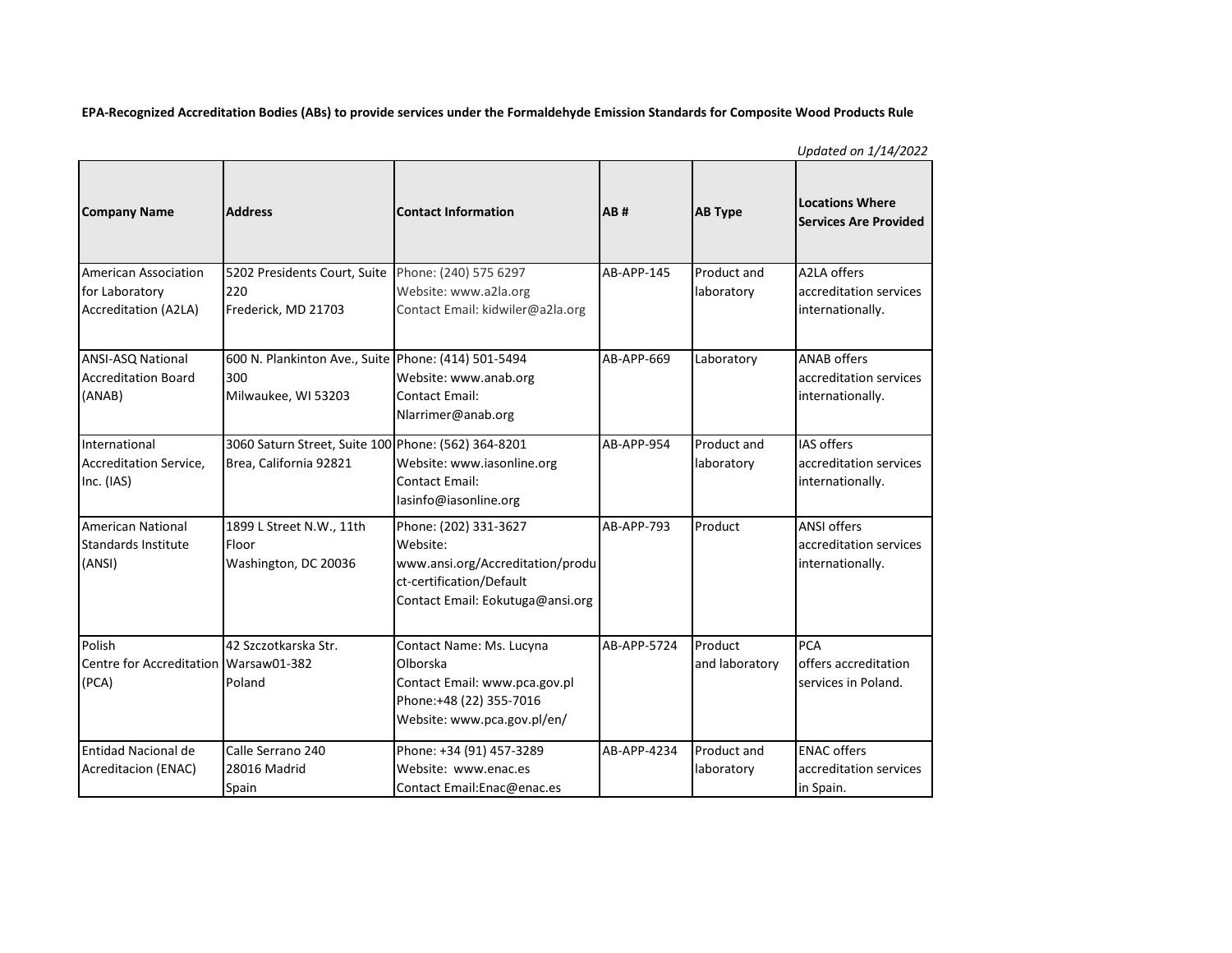**EPA-Recognized Accreditation Bodies (ABs) to provide services under the Formaldehyde Emission Standards for Composite Wood Products Rule**

|                                                                       |                                                                                   |                                                                                                                                       |             |                           | $-1 - 7 - 7 - 7$                                                 |
|-----------------------------------------------------------------------|-----------------------------------------------------------------------------------|---------------------------------------------------------------------------------------------------------------------------------------|-------------|---------------------------|------------------------------------------------------------------|
| <b>Company Name</b>                                                   | <b>Address</b>                                                                    | <b>Contact Information</b>                                                                                                            | AB#         | <b>AB Type</b>            | <b>Locations Where</b><br><b>Services Are Provided</b>           |
| American Association<br>for Laboratory<br><b>Accreditation (A2LA)</b> | 5202 Presidents Court, Suite<br>220<br>Frederick, MD 21703                        | Phone: (240) 575 6297<br>Website: www.a2la.org<br>Contact Email: kidwiler@a2la.org                                                    | AB-APP-145  | Product and<br>laboratory | A2LA offers<br>accreditation services<br>internationally.        |
| ANSI-ASQ National<br><b>Accreditation Board</b><br>(ANAB)             | 600 N. Plankinton Ave., Suite Phone: (414) 501-5494<br>300<br>Milwaukee, WI 53203 | Website: www.anab.org<br>Contact Email:<br>Nlarrimer@anab.org                                                                         | AB-APP-669  | Laboratory                | <b>ANAB offers</b><br>accreditation services<br>internationally. |
| International<br><b>Accreditation Service,</b><br>Inc. (IAS)          | 3060 Saturn Street, Suite 100 Phone: (562) 364-8201<br>Brea, California 92821     | Website: www.iasonline.org<br>Contact Email:<br>lasinfo@iasonline.org                                                                 | AB-APP-954  | Product and<br>laboratory | <b>IAS offers</b><br>accreditation services<br>internationally.  |
| <b>American National</b><br><b>Standards Institute</b><br>(ANSI)      | 1899 L Street N.W., 11th<br>Floor<br>Washington, DC 20036                         | Phone: (202) 331-3627<br>Website:<br>www.ansi.org/Accreditation/produ<br>ct-certification/Default<br>Contact Email: Eokutuga@ansi.org | AB-APP-793  | Product                   | <b>ANSI offers</b><br>accreditation services<br>internationally. |
| Polish<br>Centre for Accreditation   Warsaw01-382<br>(PCA)            | 42 Szczotkarska Str.<br>Poland                                                    | Contact Name: Ms. Lucyna<br>Olborska<br>Contact Email: www.pca.gov.pl<br>Phone:+48 (22) 355-7016<br>Website: www.pca.gov.pl/en/       | AB-APP-5724 | Product<br>and laboratory | <b>PCA</b><br>offers accreditation<br>services in Poland.        |
| Entidad Nacional de<br>Acreditacion (ENAC)                            | Calle Serrano 240<br>28016 Madrid<br>Spain                                        | Phone: +34 (91) 457-3289<br>Website: www.enac.es<br>Contact Email: Enac@enac.es                                                       | AB-APP-4234 | Product and<br>laboratory | <b>ENAC offers</b><br>accreditation services<br>in Spain.        |

*Updated on 1/14/2022*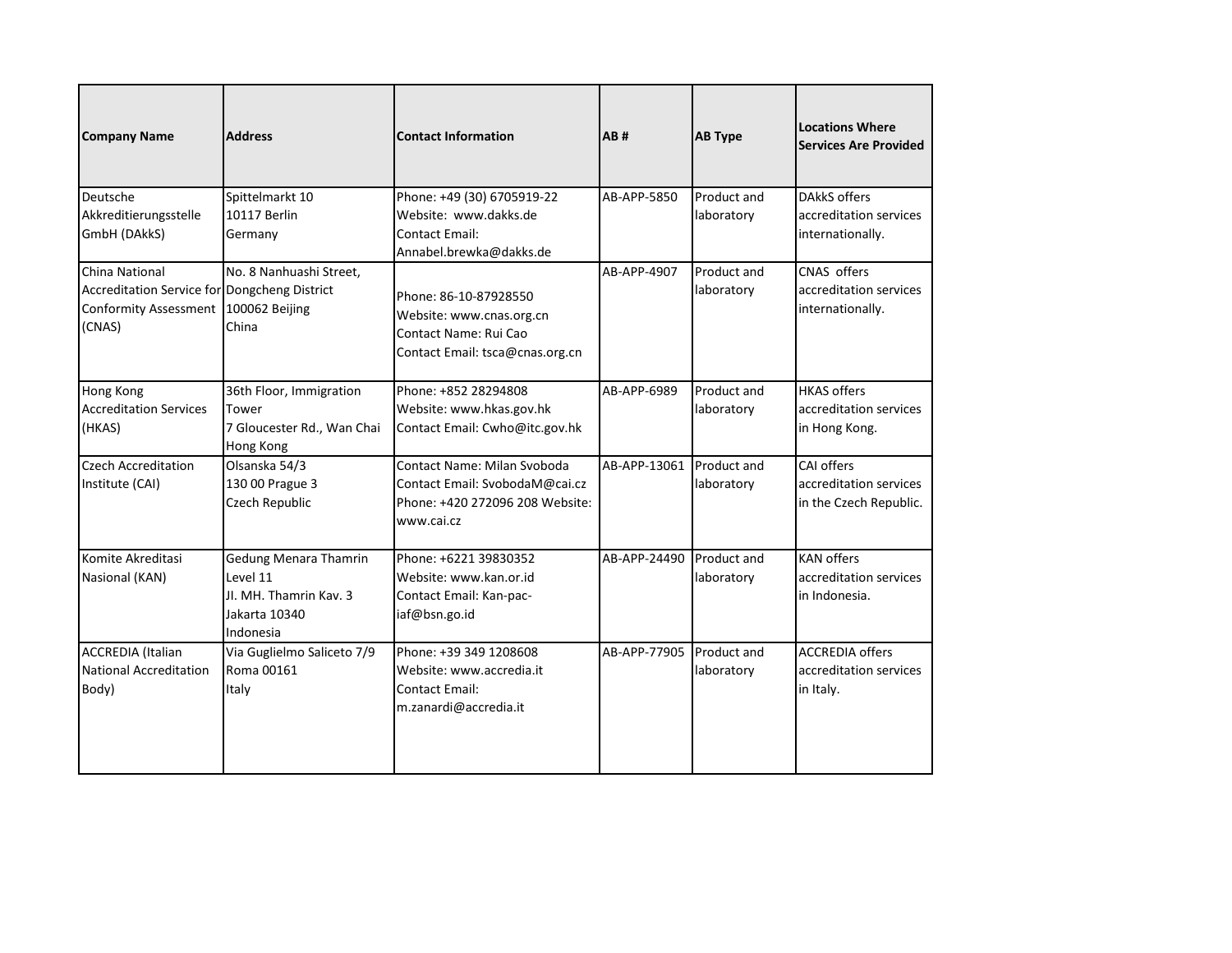| <b>Company Name</b>                                                                                      | <b>Address</b>                                                                                   | <b>Contact Information</b>                                                                                     | <b>AB#</b>   | <b>AB Type</b>            | Locations Where<br><b>Services Are Provided</b>                   |
|----------------------------------------------------------------------------------------------------------|--------------------------------------------------------------------------------------------------|----------------------------------------------------------------------------------------------------------------|--------------|---------------------------|-------------------------------------------------------------------|
| Deutsche<br>Akkreditierungsstelle<br>GmbH (DAkkS)                                                        | Spittelmarkt 10<br>10117 Berlin<br>Germany                                                       | Phone: +49 (30) 6705919-22<br>Website: www.dakks.de<br>Contact Email:<br>Annabel.brewka@dakks.de               | AB-APP-5850  | Product and<br>laboratory | <b>DAkkS offers</b><br>accreditation services<br>internationally. |
| China National<br>Accreditation Service for Dongcheng District<br><b>Conformity Assessment</b><br>(CNAS) | No. 8 Nanhuashi Street.<br>100062 Beijing<br>China                                               | Phone: 86-10-87928550<br>Website: www.cnas.org.cn<br>Contact Name: Rui Cao<br>Contact Email: tsca@cnas.org.cn  | AB-APP-4907  | Product and<br>laboratory | CNAS offers<br>accreditation services<br>internationally.         |
| <b>Hong Kong</b><br><b>Accreditation Services</b><br>(HKAS)                                              | 36th Floor, Immigration<br>Tower<br>7 Gloucester Rd., Wan Chai<br>Hong Kong                      | Phone: +852 28294808<br>Website: www.hkas.gov.hk<br>Contact Email: Cwho@itc.gov.hk                             | AB-APP-6989  | Product and<br>laboratory | <b>HKAS offers</b><br>accreditation services<br>in Hong Kong.     |
| <b>Czech Accreditation</b><br>Institute (CAI)                                                            | Olsanska 54/3<br>130 00 Prague 3<br>Czech Republic                                               | Contact Name: Milan Svoboda<br>Contact Email: SvobodaM@cai.cz<br>Phone: +420 272096 208 Website:<br>www.cai.cz | AB-APP-13061 | Product and<br>laboratory | CAI offers<br>accreditation services<br>in the Czech Republic.    |
| Komite Akreditasi<br>Nasional (KAN)                                                                      | <b>Gedung Menara Thamrin</b><br>Level 11<br>JI, MH, Thamrin Kay, 3<br>Jakarta 10340<br>Indonesia | Phone: +6221 39830352<br>Website: www.kan.or.id<br>Contact Email: Kan-pac-<br>iaf@bsn.go.id                    | AB-APP-24490 | Product and<br>laboratory | <b>KAN offers</b><br>accreditation services<br>in Indonesia.      |
| <b>ACCREDIA</b> (Italian<br>National Accreditation<br>Body)                                              | Via Guglielmo Saliceto 7/9<br>Roma 00161<br>Italy                                                | Phone: +39 349 1208608<br>Website: www.accredia.it<br>Contact Email:<br>m.zanardi@accredia.it                  | AB-APP-77905 | Product and<br>laboratory | <b>ACCREDIA offers</b><br>accreditation services<br>in Italy.     |